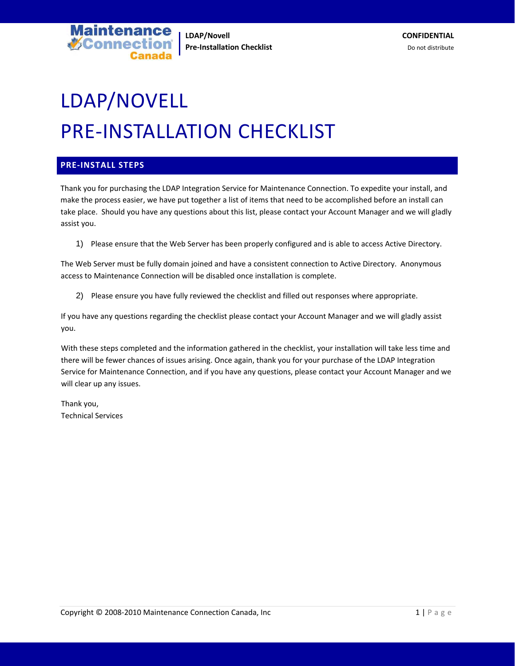

# LDAP/NOVELL PRE‐INSTALLATION CHECKLIST

### **PRE‐INSTALL STEPS**

Thank you for purchasing the LDAP Integration Service for Maintenance Connection. To expedite your install, and make the process easier, we have put together a list of items that need to be accomplished before an install can take place. Should you have any questions about this list, please contact your Account Manager and we will gladly assist you.

1) Please ensure that the Web Server has been properly configured and is able to access Active Directory.

The Web Server must be fully domain joined and have a consistent connection to Active Directory. Anonymous access to Maintenance Connection will be disabled once installation is complete.

2) Please ensure you have fully reviewed the checklist and filled out responses where appropriate.

If you have any questions regarding the checklist please contact your Account Manager and we will gladly assist you.

With these steps completed and the information gathered in the checklist, your installation will take less time and there will be fewer chances of issues arising. Once again, thank you for your purchase of the LDAP Integration Service for Maintenance Connection, and if you have any questions, please contact your Account Manager and we will clear up any issues.

Thank you, Technical Services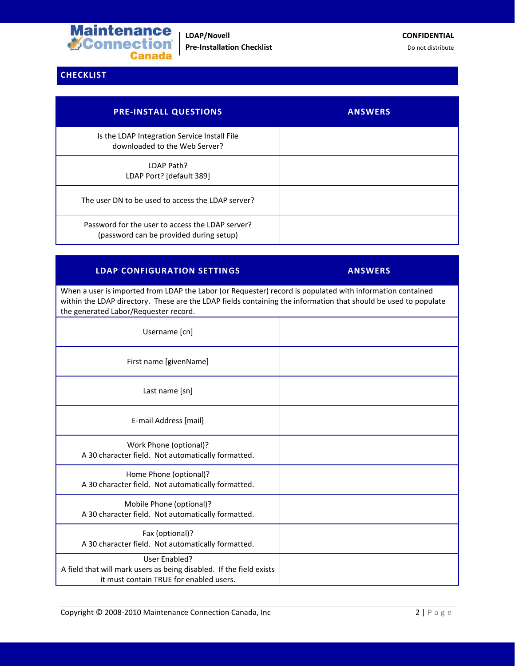

# **CHECKLIST**

| <b>PRE-INSTALL QUESTIONS</b>                                                                | <b>ANSWERS</b> |
|---------------------------------------------------------------------------------------------|----------------|
| Is the LDAP Integration Service Install File<br>downloaded to the Web Server?               |                |
| LDAP Path?<br>LDAP Port? [default 389]                                                      |                |
| The user DN to be used to access the LDAP server?                                           |                |
| Password for the user to access the LDAP server?<br>(password can be provided during setup) |                |

## **LDAP CONFIGURATION SETTINGS ANSWERS**

When a user is imported from LDAP the Labor (or Requester) record is populated with information contained within the LDAP directory. These are the LDAP fields containing the information that should be used to populate the generated Labor/Requester record.

| Username [cn]                                                                                                                   |  |
|---------------------------------------------------------------------------------------------------------------------------------|--|
| First name [givenName]                                                                                                          |  |
| Last name [sn]                                                                                                                  |  |
| E-mail Address [mail]                                                                                                           |  |
| Work Phone (optional)?<br>A 30 character field. Not automatically formatted.                                                    |  |
| Home Phone (optional)?<br>A 30 character field. Not automatically formatted.                                                    |  |
| Mobile Phone (optional)?<br>A 30 character field. Not automatically formatted.                                                  |  |
| Fax (optional)?<br>A 30 character field. Not automatically formatted.                                                           |  |
| User Enabled?<br>A field that will mark users as being disabled. If the field exists<br>it must contain TRUE for enabled users. |  |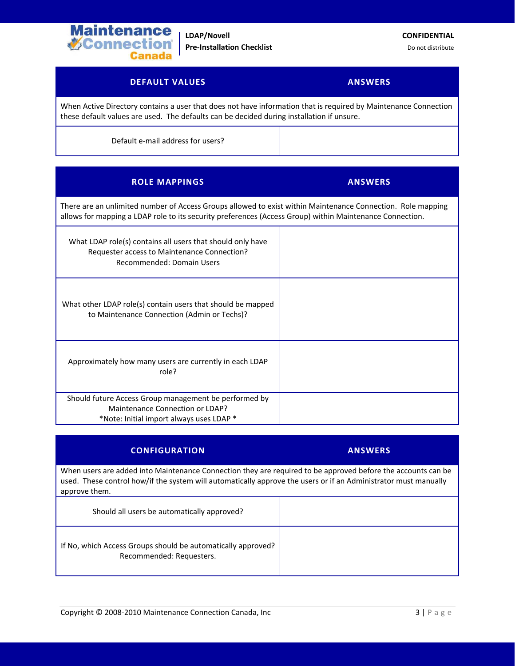

**LDAP/Novell CONFIDENTIAL Pre-Installation Checklist** Do not distribute

## **DEFAULT VALUES ANSWERS**

When Active Directory contains a user that does not have information that is required by Maintenance Connection these default values are used. The defaults can be decided during installation if unsure.

Default e‐mail address for users?

| <b>ROLE MAPPINGS</b>                                                                                                                                                                                                    | <b>ANSWERS</b> |
|-------------------------------------------------------------------------------------------------------------------------------------------------------------------------------------------------------------------------|----------------|
| There are an unlimited number of Access Groups allowed to exist within Maintenance Connection. Role mapping<br>allows for mapping a LDAP role to its security preferences (Access Group) within Maintenance Connection. |                |
| What LDAP role(s) contains all users that should only have<br>Requester access to Maintenance Connection?<br>Recommended: Domain Users                                                                                  |                |
| What other LDAP role(s) contain users that should be mapped<br>to Maintenance Connection (Admin or Techs)?                                                                                                              |                |
| Approximately how many users are currently in each LDAP<br>role?                                                                                                                                                        |                |
| Should future Access Group management be performed by<br>Maintenance Connection or LDAP?<br>*Note: Initial import always uses LDAP *                                                                                    |                |

| <b>CONFIGURATION</b>                                                                                                                                                                                                                             | <b>ANSWERS</b> |
|--------------------------------------------------------------------------------------------------------------------------------------------------------------------------------------------------------------------------------------------------|----------------|
| When users are added into Maintenance Connection they are required to be approved before the accounts can be<br>used. These control how/if the system will automatically approve the users or if an Administrator must manually<br>approve them. |                |
| Should all users be automatically approved?                                                                                                                                                                                                      |                |
| If No, which Access Groups should be automatically approved?<br>Recommended: Requesters.                                                                                                                                                         |                |